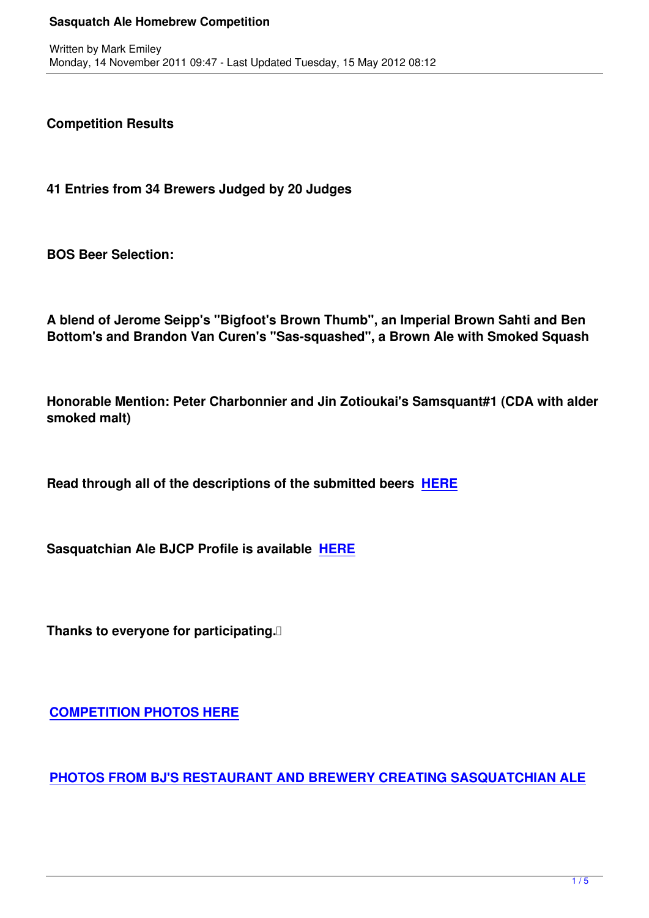**Competition Results**

**41 Entries from 34 Brewers Judged by 20 Judges**

**BOS Beer Selection:**

**A blend of Jerome Seipp's "Bigfoot's Brown Thumb", an Imperial Brown Sahti and Ben Bottom's and Brandon Van Curen's "Sas-squashed", a Brown Ale with Smoked Squash**

**Honorable Mention: Peter Charbonnier and Jin Zotioukai's Samsquant#1 (CDA with alder smoked malt)**

**Read through all of the descriptions of the submitted beers HERE**

**Sasquatchian Ale BJCP Profile is available HERE**

**Thanks to everyone for participating.** 

**COMPETITION PHOTOS HERE**

**[PHOTOS FROM BJ'S RESTAUR](http://www.facebook.com/pages/Washington-Homebrewers-Association/35940934262#!/media/set/?set=a.10150563809669263.391688.35940934262&type=1)ANT AND BREWERY CREATING SASQUATCHIAN ALE**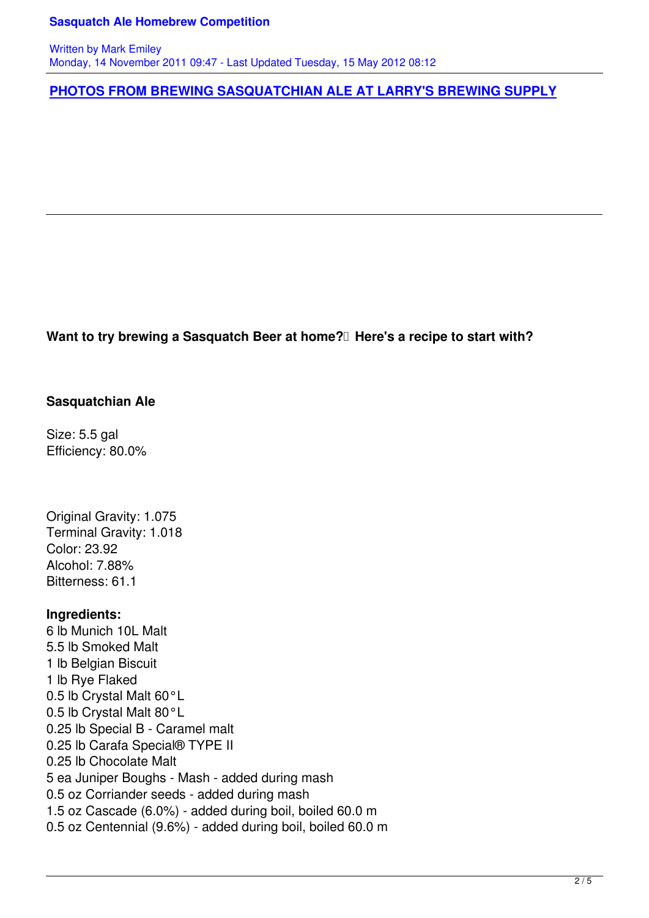**PHOTOS FROM BREWING SASQUATCHIAN ALE AT LARRY'S BREWING SUPPLY**

Want to try brewing a Sasquatch Beer at home? Here's a recipe to start with?

## **Sasquatchian Ale**

Size: 5.5 gal Efficiency: 80.0%

Original Gravity: 1.075 Terminal Gravity: 1.018 Color: 23.92 Alcohol: 7.88% Bitterness: 61.1

#### **Ingredients:**

6 lb Munich 10L Malt 5.5 lb Smoked Malt 1 lb Belgian Biscuit 1 lb Rye Flaked 0.5 lb Crystal Malt 60°L 0.5 lb Crystal Malt 80°L 0.25 lb Special B - Caramel malt 0.25 lb Carafa Special® TYPE II 0.25 lb Chocolate Malt 5 ea Juniper Boughs - Mash - added during mash 0.5 oz Corriander seeds - added during mash 1.5 oz Cascade (6.0%) - added during boil, boiled 60.0 m 0.5 oz Centennial (9.6%) - added during boil, boiled 60.0 m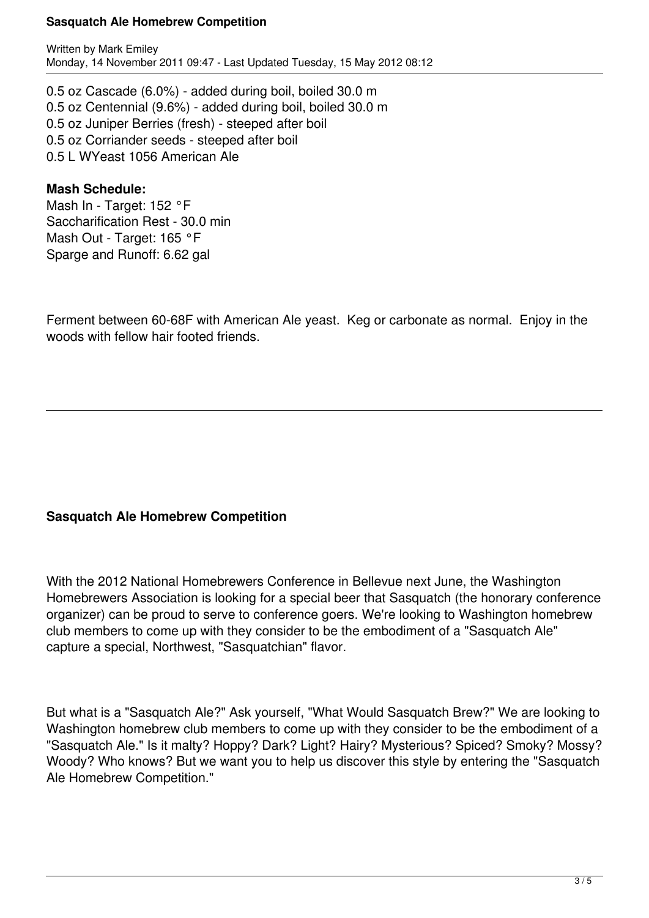#### **Sasquatch Ale Homebrew Competition**

Written by Mark Emiley Monday, 14 November 2011 09:47 - Last Updated Tuesday, 15 May 2012 08:12

0.5 oz Cascade (6.0%) - added during boil, boiled 30.0 m 0.5 oz Centennial (9.6%) - added during boil, boiled 30.0 m 0.5 oz Juniper Berries (fresh) - steeped after boil 0.5 oz Corriander seeds - steeped after boil 0.5 L WYeast 1056 American Ale

## **Mash Schedule:**

Mash In - Target: 152 °F Saccharification Rest - 30.0 min Mash Out - Target: 165 °F Sparge and Runoff: 6.62 gal

Ferment between 60-68F with American Ale yeast. Keg or carbonate as normal. Enjoy in the woods with fellow hair footed friends.

# **Sasquatch Ale Homebrew Competition**

With the 2012 National Homebrewers Conference in Bellevue next June, the Washington Homebrewers Association is looking for a special beer that Sasquatch (the honorary conference organizer) can be proud to serve to conference goers. We're looking to Washington homebrew club members to come up with they consider to be the embodiment of a "Sasquatch Ale" capture a special, Northwest, "Sasquatchian" flavor.

But what is a "Sasquatch Ale?" Ask yourself, "What Would Sasquatch Brew?" We are looking to Washington homebrew club members to come up with they consider to be the embodiment of a "Sasquatch Ale." Is it malty? Hoppy? Dark? Light? Hairy? Mysterious? Spiced? Smoky? Mossy? Woody? Who knows? But we want you to help us discover this style by entering the "Sasquatch" Ale Homebrew Competition."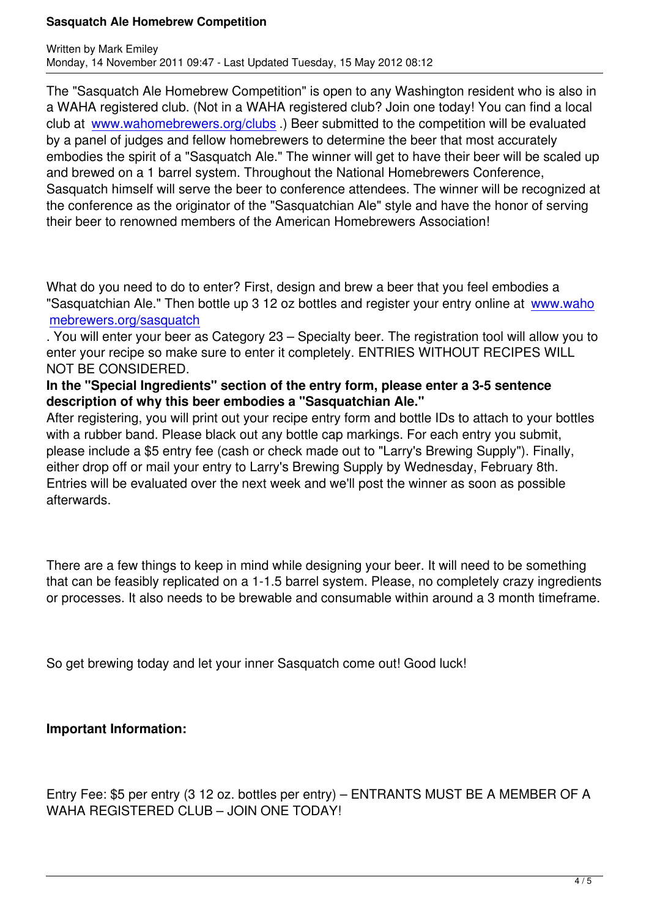The "Sasquatch Ale Homebrew Competition" is open to any Washington resident who is also in a WAHA registered club. (Not in a WAHA registered club? Join one today! You can find a local club at www.wahomebrewers.org/clubs .) Beer submitted to the competition will be evaluated by a panel of judges and fellow homebrewers to determine the beer that most accurately embodies the spirit of a "Sasquatch Ale." The winner will get to have their beer will be scaled up and bre[wed on a 1 barrel system. Throu](clubs)ghout the National Homebrewers Conference, Sasquatch himself will serve the beer to conference attendees. The winner will be recognized at the conference as the originator of the "Sasquatchian Ale" style and have the honor of serving their beer to renowned members of the American Homebrewers Association!

What do you need to do to enter? First, design and brew a beer that you feel embodies a "Sasquatchian Ale." Then bottle up 3 12 oz bottles and register your entry online at www.waho mebrewers.org/sasquatch

. You will enter your beer as Category 23 – Specialty beer. The registration tool will allow you to enter your recipe so make sure to enter it completely. ENTRIES WITHOUT RECIP[ES WILL](sasquatch) [NOT BE CONSIDERED.](sasquatch) 

# **In the "Special Ingredients" section of the entry form, please enter a 3-5 sentence description of why this beer embodies a "Sasquatchian Ale."**

After registering, you will print out your recipe entry form and bottle IDs to attach to your bottles with a rubber band. Please black out any bottle cap markings. For each entry you submit, please include a \$5 entry fee (cash or check made out to "Larry's Brewing Supply"). Finally, either drop off or mail your entry to Larry's Brewing Supply by Wednesday, February 8th. Entries will be evaluated over the next week and we'll post the winner as soon as possible afterwards.

There are a few things to keep in mind while designing your beer. It will need to be something that can be feasibly replicated on a 1-1.5 barrel system. Please, no completely crazy ingredients or processes. It also needs to be brewable and consumable within around a 3 month timeframe.

So get brewing today and let your inner Sasquatch come out! Good luck!

# **Important Information:**

Entry Fee: \$5 per entry (3 12 oz. bottles per entry) – ENTRANTS MUST BE A MEMBER OF A WAHA REGISTERED CLUB – JOIN ONE TODAY!